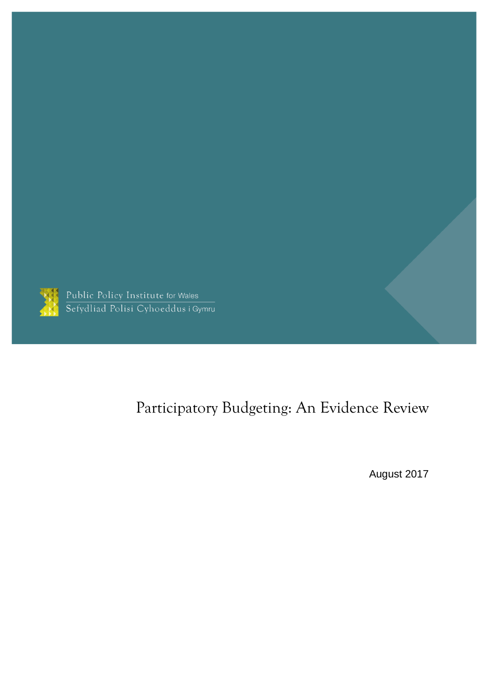

Public Policy Institute for Wales<br>Sefydliad Polisi Cyhoeddus i Gymru

# Participatory Budgeting: An Evidence Review

August 2017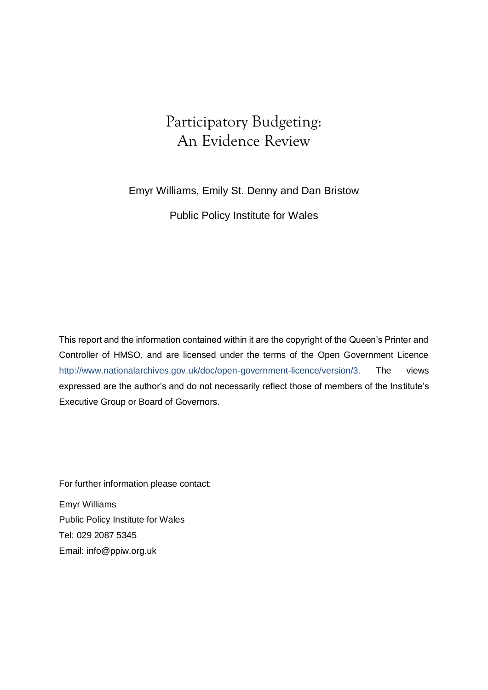## Participatory Budgeting: An Evidence Review

Emyr Williams, Emily St. Denny and Dan Bristow

Public Policy Institute for Wales

This report and the information contained within it are the copyright of the Queen's Printer and Controller of HMSO, and are licensed under the terms of the Open Government Licence [http://www.nationalarchives.gov.uk/doc/open-government-licence/version/3.](http://www.nationalarchives.gov.uk/doc/open-government-licence/version/3) The views expressed are the author's and do not necessarily reflect those of members of the Institute's Executive Group or Board of Governors.

For further information please contact:

Emyr Williams Public Policy Institute for Wales Tel: 029 2087 5345 Email: [info@ppiw.org.uk](mailto:info@ppiw.org.uk)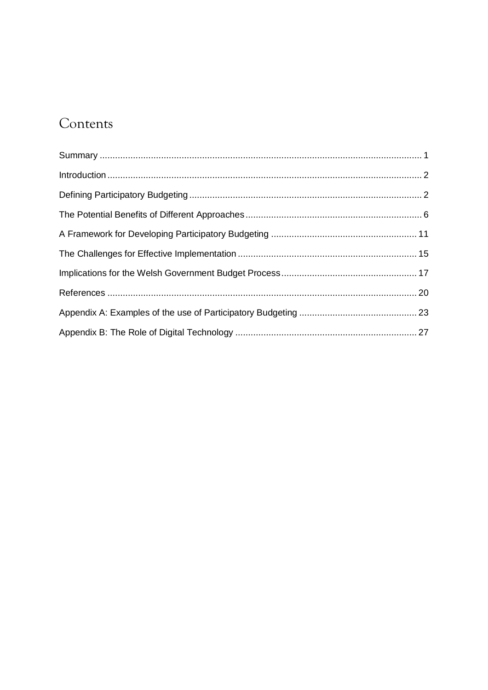# Contents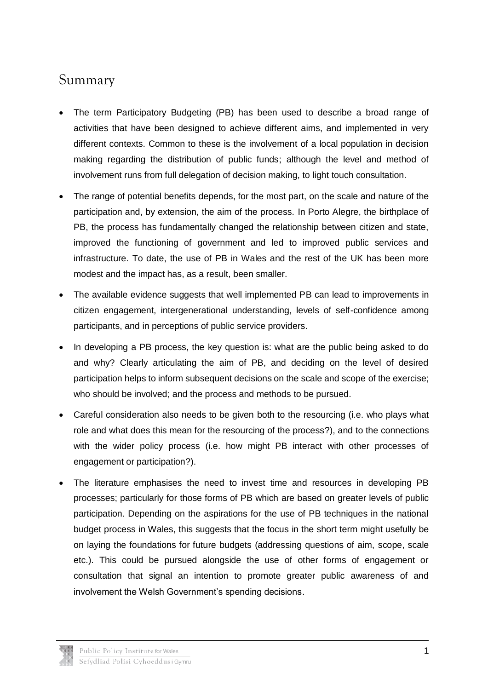## <span id="page-3-0"></span>Summary

- The term Participatory Budgeting (PB) has been used to describe a broad range of activities that have been designed to achieve different aims, and implemented in very different contexts. Common to these is the involvement of a local population in decision making regarding the distribution of public funds; although the level and method of involvement runs from full delegation of decision making, to light touch consultation.
- The range of potential benefits depends, for the most part, on the scale and nature of the participation and, by extension, the aim of the process. In Porto Alegre, the birthplace of PB, the process has fundamentally changed the relationship between citizen and state, improved the functioning of government and led to improved public services and infrastructure. To date, the use of PB in Wales and the rest of the UK has been more modest and the impact has, as a result, been smaller.
- The available evidence suggests that well implemented PB can lead to improvements in citizen engagement, intergenerational understanding, levels of self-confidence among participants, and in perceptions of public service providers.
- In developing a PB process, the key question is: what are the public being asked to do and why? Clearly articulating the aim of PB, and deciding on the level of desired participation helps to inform subsequent decisions on the scale and scope of the exercise; who should be involved; and the process and methods to be pursued.
- Careful consideration also needs to be given both to the resourcing (i.e. who plays what role and what does this mean for the resourcing of the process?), and to the connections with the wider policy process (i.e. how might PB interact with other processes of engagement or participation?).
- The literature emphasises the need to invest time and resources in developing PB processes; particularly for those forms of PB which are based on greater levels of public participation. Depending on the aspirations for the use of PB techniques in the national budget process in Wales, this suggests that the focus in the short term might usefully be on laying the foundations for future budgets (addressing questions of aim, scope, scale etc.). This could be pursued alongside the use of other forms of engagement or consultation that signal an intention to promote greater public awareness of and involvement the Welsh Government's spending decisions.

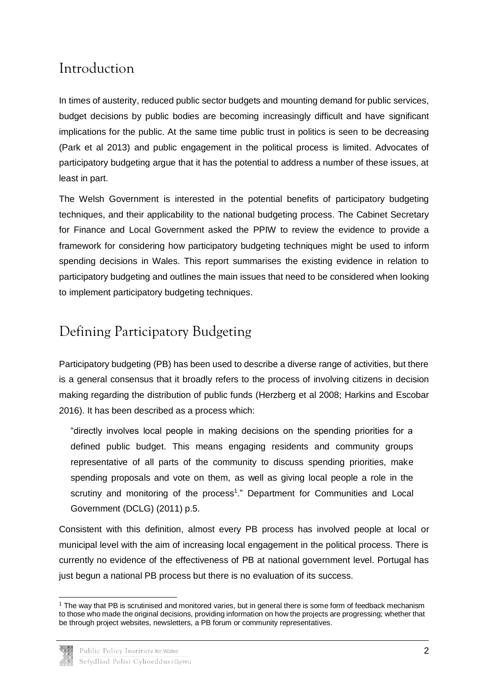## <span id="page-4-0"></span>Introduction

In times of austerity, reduced public sector budgets and mounting demand for public services, budget decisions by public bodies are becoming increasingly difficult and have significant implications for the public. At the same time public trust in politics is seen to be decreasing (Park et al 2013) and public engagement in the political process is limited. Advocates of participatory budgeting argue that it has the potential to address a number of these issues, at least in part.

The Welsh Government is interested in the potential benefits of participatory budgeting techniques, and their applicability to the national budgeting process. The Cabinet Secretary for Finance and Local Government asked the PPIW to review the evidence to provide a framework for considering how participatory budgeting techniques might be used to inform spending decisions in Wales. This report summarises the existing evidence in relation to participatory budgeting and outlines the main issues that need to be considered when looking to implement participatory budgeting techniques.

## <span id="page-4-1"></span>Defining Participatory Budgeting

Participatory budgeting (PB) has been used to describe a diverse range of activities, but there is a general consensus that it broadly refers to the process of involving citizens in decision making regarding the distribution of public funds (Herzberg et al 2008; Harkins and Escobar 2016). It has been described as a process which:

"directly involves local people in making decisions on the spending priorities for a defined public budget. This means engaging residents and community groups representative of all parts of the community to discuss spending priorities, make spending proposals and vote on them, as well as giving local people a role in the scrutiny and monitoring of the process<sup>1</sup>." Department for Communities and Local Government (DCLG) (2011) p.5.

Consistent with this definition, almost every PB process has involved people at local or municipal level with the aim of increasing local engagement in the political process. There is currently no evidence of the effectiveness of PB at national government level. Portugal has just begun a national PB process but there is no evaluation of its success.

<sup>-</sup><sup>1</sup> The way that PB is scrutinised and monitored varies, but in general there is some form of feedback mechanism to those who made the original decisions, providing information on how the projects are progressing; whether that be through project websites, newsletters, a PB forum or community representatives.

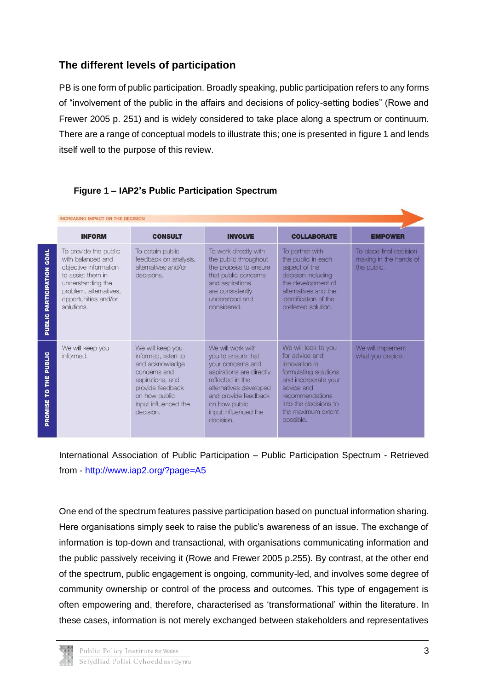## **The different levels of participation**

PB is one form of public participation. Broadly speaking, public participation refers to any forms of "involvement of the public in the affairs and decisions of policy-setting bodies" (Rowe and Frewer 2005 p. 251) and is widely considered to take place along a spectrum or continuum. There are a range of conceptual models to illustrate this; one is presented in figure 1 and lends itself well to the purpose of this review.

#### **Figure 1 – IAP2's Public Participation Spectrum**

|                                        | <b>INCREASING IMPACT ON THE DECISION</b>                                                                                                                                      |                                                                                                                                                                          |                                                                                                                                                                                                                      |                                                                                                                                                                                                      |                                                                  |
|----------------------------------------|-------------------------------------------------------------------------------------------------------------------------------------------------------------------------------|--------------------------------------------------------------------------------------------------------------------------------------------------------------------------|----------------------------------------------------------------------------------------------------------------------------------------------------------------------------------------------------------------------|------------------------------------------------------------------------------------------------------------------------------------------------------------------------------------------------------|------------------------------------------------------------------|
|                                        | <b>INFORM</b>                                                                                                                                                                 | <b>CONSULT</b>                                                                                                                                                           | <b>INVOLVE</b>                                                                                                                                                                                                       | <b>COLLABORATE</b>                                                                                                                                                                                   | <b>EMPOWER</b>                                                   |
| GOAL<br><b>PARTICIPATION</b><br>PUBLIC | To provide the public<br>with balanced and<br>objective information<br>to assist them in<br>understanding the<br>problem, alternatives,<br>opportunities and/or<br>solutions. | To obtain public<br>feedback on analysis,<br>alternatives and/or<br>decisions.                                                                                           | To work directly with<br>the public throughout<br>the process to ensure<br>that public concerns<br>and aspirations<br>are consistently<br>understood and<br>considered.                                              | To partner with<br>the public in each<br>aspect of the<br>decision including<br>the development of<br>alternatives and the<br>identification of the<br>preferred solution.                           | To place final decision<br>making in the hands of<br>the public. |
| <b>PUBLIC</b><br>E<br>p<br>PROMISE     | We will keep you<br>informed.                                                                                                                                                 | We will keep you<br>informed, listen to<br>and acknowledge<br>concerns and<br>aspirations, and<br>provide feedback<br>on how public<br>input influenced the<br>decision. | We will work with<br>you to ensure that<br>vour concerns and<br>aspirations are directly<br>reflected in the<br>alternatives developed<br>and provide feedback<br>on how public<br>input influenced the<br>decision. | We will look to you<br>for advice and<br>innovation in<br>formulating solutions<br>and incorporate your<br>advice and<br>recommendations<br>into the decisions to<br>the maximum extent<br>possible. | We will implement<br>what you decide.                            |

International Association of Public Participation – Public Participation Spectrum - Retrieved from - <http://www.iap2.org/?page=A5>

One end of the spectrum features passive participation based on punctual information sharing. Here organisations simply seek to raise the public's awareness of an issue. The exchange of information is top-down and transactional, with organisations communicating information and the public passively receiving it (Rowe and Frewer 2005 p.255). By contrast, at the other end of the spectrum, public engagement is ongoing, community-led, and involves some degree of community ownership or control of the process and outcomes. This type of engagement is often empowering and, therefore, characterised as 'transformational' within the literature. In these cases, information is not merely exchanged between stakeholders and representatives

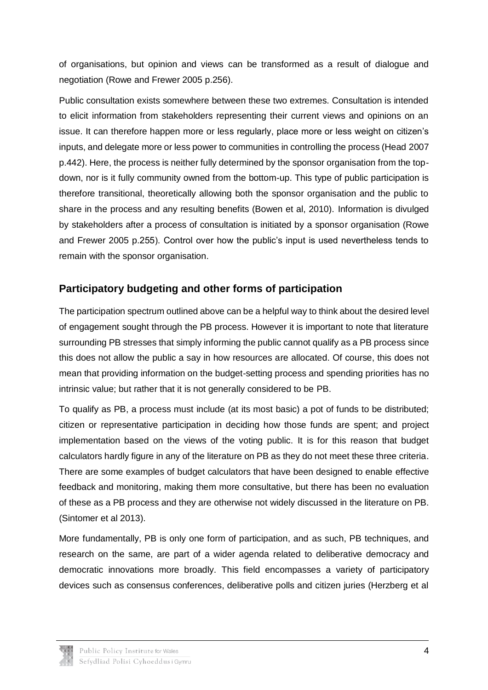of organisations, but opinion and views can be transformed as a result of dialogue and negotiation (Rowe and Frewer 2005 p.256).

Public consultation exists somewhere between these two extremes. Consultation is intended to elicit information from stakeholders representing their current views and opinions on an issue. It can therefore happen more or less regularly, place more or less weight on citizen's inputs, and delegate more or less power to communities in controlling the process (Head 2007 p.442). Here, the process is neither fully determined by the sponsor organisation from the topdown, nor is it fully community owned from the bottom-up. This type of public participation is therefore transitional, theoretically allowing both the sponsor organisation and the public to share in the process and any resulting benefits (Bowen et al, 2010). Information is divulged by stakeholders after a process of consultation is initiated by a sponsor organisation (Rowe and Frewer 2005 p.255). Control over how the public's input is used nevertheless tends to remain with the sponsor organisation.

## **Participatory budgeting and other forms of participation**

The participation spectrum outlined above can be a helpful way to think about the desired level of engagement sought through the PB process. However it is important to note that literature surrounding PB stresses that simply informing the public cannot qualify as a PB process since this does not allow the public a say in how resources are allocated. Of course, this does not mean that providing information on the budget-setting process and spending priorities has no intrinsic value; but rather that it is not generally considered to be PB.

To qualify as PB, a process must include (at its most basic) a pot of funds to be distributed; citizen or representative participation in deciding how those funds are spent; and project implementation based on the views of the voting public. It is for this reason that budget calculators hardly figure in any of the literature on PB as they do not meet these three criteria. There are some examples of budget calculators that have been designed to enable effective feedback and monitoring, making them more consultative, but there has been no evaluation of these as a PB process and they are otherwise not widely discussed in the literature on PB. (Sintomer et al 2013).

More fundamentally, PB is only one form of participation, and as such, PB techniques, and research on the same, are part of a wider agenda related to deliberative democracy and democratic innovations more broadly. This field encompasses a variety of participatory devices such as consensus conferences, deliberative polls and citizen juries (Herzberg et al

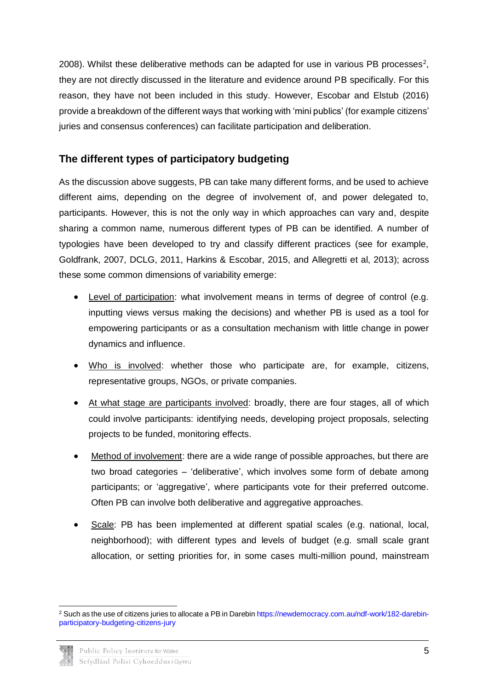2008). Whilst these deliberative methods can be adapted for use in various PB processes<sup>2</sup>, they are not directly discussed in the literature and evidence around PB specifically. For this reason, they have not been included in this study. However, Escobar and Elstub (2016) provide a breakdown of the different ways that working with 'mini publics' (for example citizens' juries and consensus conferences) can facilitate participation and deliberation.

### **The different types of participatory budgeting**

As the discussion above suggests, PB can take many different forms, and be used to achieve different aims, depending on the degree of involvement of, and power delegated to, participants. However, this is not the only way in which approaches can vary and, despite sharing a common name, numerous different types of PB can be identified. A number of typologies have been developed to try and classify different practices (see for example, Goldfrank, 2007, DCLG, 2011, Harkins & Escobar, 2015, and Allegretti et al, 2013); across these some common dimensions of variability emerge:

- Level of participation: what involvement means in terms of degree of control (e.g. inputting views versus making the decisions) and whether PB is used as a tool for empowering participants or as a consultation mechanism with little change in power dynamics and influence.
- Who is involved: whether those who participate are, for example, citizens, representative groups, NGOs, or private companies.
- At what stage are participants involved: broadly, there are four stages, all of which could involve participants: identifying needs, developing project proposals, selecting projects to be funded, monitoring effects.
- Method of involvement: there are a wide range of possible approaches, but there are two broad categories – 'deliberative', which involves some form of debate among participants; or 'aggregative', where participants vote for their preferred outcome. Often PB can involve both deliberative and aggregative approaches.
- Scale: PB has been implemented at different spatial scales (e.g. national, local, neighborhood); with different types and levels of budget (e.g. small scale grant allocation, or setting priorities for, in some cases multi-million pound, mainstream

<sup>2</sup> Such as the use of citizens juries to allocate a PB in Darebi[n https://newdemocracy.com.au/ndf-work/182-darebin](https://newdemocracy.com.au/ndf-work/182-darebin-participatory-budgeting-citizens-jury)[participatory-budgeting-citizens-jury](https://newdemocracy.com.au/ndf-work/182-darebin-participatory-budgeting-citizens-jury) 

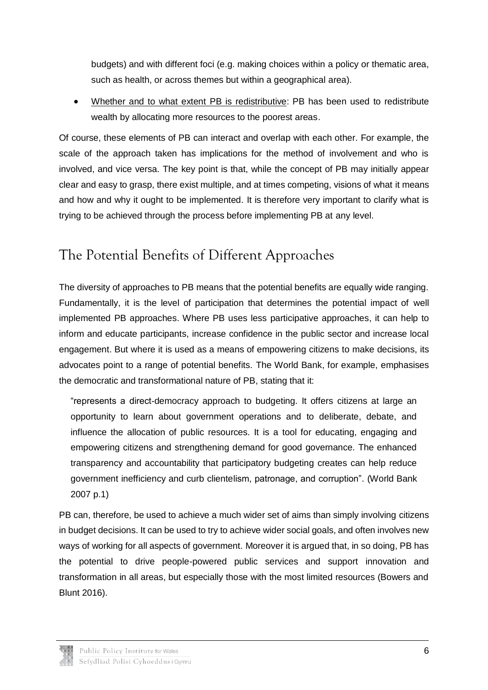budgets) and with different foci (e.g. making choices within a policy or thematic area, such as health, or across themes but within a geographical area).

 Whether and to what extent PB is redistributive: PB has been used to redistribute wealth by allocating more resources to the poorest areas.

Of course, these elements of PB can interact and overlap with each other. For example, the scale of the approach taken has implications for the method of involvement and who is involved, and vice versa. The key point is that, while the concept of PB may initially appear clear and easy to grasp, there exist multiple, and at times competing, visions of what it means and how and why it ought to be implemented. It is therefore very important to clarify what is trying to be achieved through the process before implementing PB at any level.

## <span id="page-8-0"></span>The Potential Benefits of Different Approaches

The diversity of approaches to PB means that the potential benefits are equally wide ranging. Fundamentally, it is the level of participation that determines the potential impact of well implemented PB approaches. Where PB uses less participative approaches, it can help to inform and educate participants, increase confidence in the public sector and increase local engagement. But where it is used as a means of empowering citizens to make decisions, its advocates point to a range of potential benefits. The World Bank, for example, emphasises the democratic and transformational nature of PB, stating that it:

"represents a direct-democracy approach to budgeting. It offers citizens at large an opportunity to learn about government operations and to deliberate, debate, and influence the allocation of public resources. It is a tool for educating, engaging and empowering citizens and strengthening demand for good governance. The enhanced transparency and accountability that participatory budgeting creates can help reduce government inefficiency and curb clientelism, patronage, and corruption". (World Bank 2007 p.1)

PB can, therefore, be used to achieve a much wider set of aims than simply involving citizens in budget decisions. It can be used to try to achieve wider social goals, and often involves new ways of working for all aspects of government. Moreover it is argued that, in so doing, PB has the potential to drive people-powered public services and support innovation and transformation in all areas, but especially those with the most limited resources (Bowers and Blunt 2016).

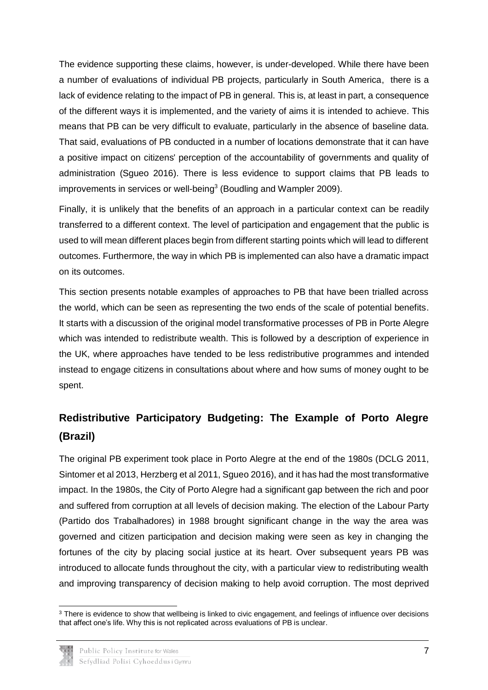The evidence supporting these claims, however, is under-developed. While there have been a number of evaluations of individual PB projects, particularly in South America, there is a lack of evidence relating to the impact of PB in general. This is, at least in part, a consequence of the different ways it is implemented, and the variety of aims it is intended to achieve. This means that PB can be very difficult to evaluate, particularly in the absence of baseline data. That said, evaluations of PB conducted in a number of locations demonstrate that it can have a positive impact on citizens' perception of the accountability of governments and quality of administration (Sgueo 2016). There is less evidence to support claims that PB leads to improvements in services or well-being<sup>3</sup> (Boudling and Wampler 2009).

Finally, it is unlikely that the benefits of an approach in a particular context can be readily transferred to a different context. The level of participation and engagement that the public is used to will mean different places begin from different starting points which will lead to different outcomes. Furthermore, the way in which PB is implemented can also have a dramatic impact on its outcomes.

This section presents notable examples of approaches to PB that have been trialled across the world, which can be seen as representing the two ends of the scale of potential benefits. It starts with a discussion of the original model transformative processes of PB in Porte Alegre which was intended to redistribute wealth. This is followed by a description of experience in the UK, where approaches have tended to be less redistributive programmes and intended instead to engage citizens in consultations about where and how sums of money ought to be spent.

## **Redistributive Participatory Budgeting: The Example of Porto Alegre (Brazil)**

The original PB experiment took place in Porto Alegre at the end of the 1980s (DCLG 2011, Sintomer et al 2013, Herzberg et al 2011, Sgueo 2016), and it has had the most transformative impact. In the 1980s, the City of Porto Alegre had a significant gap between the rich and poor and suffered from corruption at all levels of decision making. The election of the Labour Party (Partido dos Trabalhadores) in 1988 brought significant change in the way the area was governed and citizen participation and decision making were seen as key in changing the fortunes of the city by placing social justice at its heart. Over subsequent years PB was introduced to allocate funds throughout the city, with a particular view to redistributing wealth and improving transparency of decision making to help avoid corruption. The most deprived

<sup>-</sup><sup>3</sup> There is evidence to show that wellbeing is linked to civic engagement, and feelings of influence over decisions that affect one's life. Why this is not replicated across evaluations of PB is unclear.

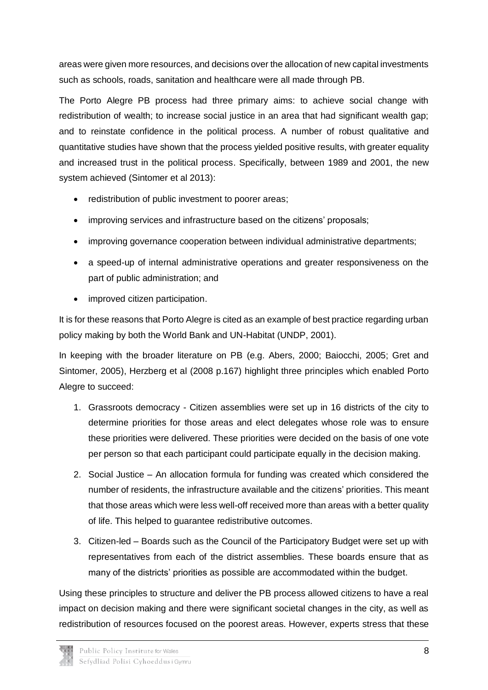areas were given more resources, and decisions over the allocation of new capital investments such as schools, roads, sanitation and healthcare were all made through PB.

The Porto Alegre PB process had three primary aims: to achieve social change with redistribution of wealth; to increase social justice in an area that had significant wealth gap; and to reinstate confidence in the political process. A number of robust qualitative and quantitative studies have shown that the process yielded positive results, with greater equality and increased trust in the political process. Specifically, between 1989 and 2001, the new system achieved (Sintomer et al 2013):

- redistribution of public investment to poorer areas;
- improving services and infrastructure based on the citizens' proposals;
- improving governance cooperation between individual administrative departments;
- a speed-up of internal administrative operations and greater responsiveness on the part of public administration; and
- improved citizen participation.

It is for these reasons that Porto Alegre is cited as an example of best practice regarding urban policy making by both the World Bank and UN-Habitat (UNDP, 2001).

In keeping with the broader literature on PB (e.g. Abers, 2000; Baiocchi, 2005; Gret and Sintomer, 2005), Herzberg et al (2008 p.167) highlight three principles which enabled Porto Alegre to succeed:

- 1. Grassroots democracy Citizen assemblies were set up in 16 districts of the city to determine priorities for those areas and elect delegates whose role was to ensure these priorities were delivered. These priorities were decided on the basis of one vote per person so that each participant could participate equally in the decision making.
- 2. Social Justice An allocation formula for funding was created which considered the number of residents, the infrastructure available and the citizens' priorities. This meant that those areas which were less well-off received more than areas with a better quality of life. This helped to guarantee redistributive outcomes.
- 3. Citizen-led Boards such as the Council of the Participatory Budget were set up with representatives from each of the district assemblies. These boards ensure that as many of the districts' priorities as possible are accommodated within the budget.

Using these principles to structure and deliver the PB process allowed citizens to have a real impact on decision making and there were significant societal changes in the city, as well as redistribution of resources focused on the poorest areas. However, experts stress that these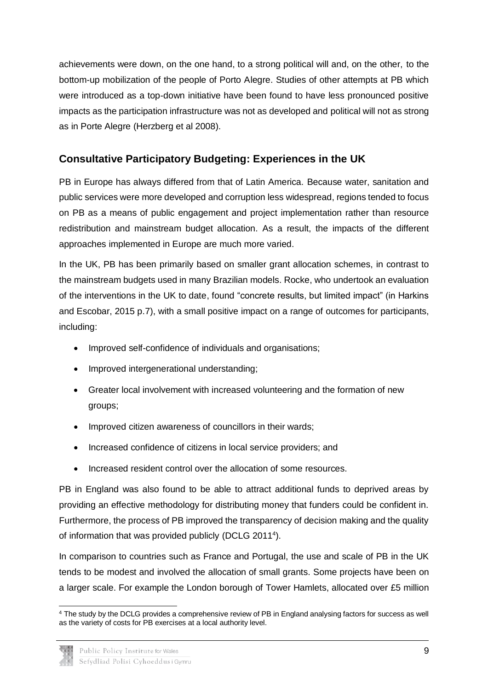achievements were down, on the one hand, to a strong political will and, on the other, to the bottom-up mobilization of the people of Porto Alegre. Studies of other attempts at PB which were introduced as a top-down initiative have been found to have less pronounced positive impacts as the participation infrastructure was not as developed and political will not as strong as in Porte Alegre (Herzberg et al 2008).

## **Consultative Participatory Budgeting: Experiences in the UK**

PB in Europe has always differed from that of Latin America. Because water, sanitation and public services were more developed and corruption less widespread, regions tended to focus on PB as a means of public engagement and project implementation rather than resource redistribution and mainstream budget allocation. As a result, the impacts of the different approaches implemented in Europe are much more varied.

In the UK, PB has been primarily based on smaller grant allocation schemes, in contrast to the mainstream budgets used in many Brazilian models. Rocke, who undertook an evaluation of the interventions in the UK to date, found "concrete results, but limited impact" (in Harkins and Escobar, 2015 p.7), with a small positive impact on a range of outcomes for participants, including:

- Improved self-confidence of individuals and organisations;
- Improved intergenerational understanding;
- Greater local involvement with increased volunteering and the formation of new groups;
- Improved citizen awareness of councillors in their wards:
- Increased confidence of citizens in local service providers; and
- Increased resident control over the allocation of some resources.

PB in England was also found to be able to attract additional funds to deprived areas by providing an effective methodology for distributing money that funders could be confident in. Furthermore, the process of PB improved the transparency of decision making and the quality of information that was provided publicly (DCLG 2011<sup>4</sup> ).

In comparison to countries such as France and Portugal, the use and scale of PB in the UK tends to be modest and involved the allocation of small grants. Some projects have been on a larger scale. For example the London borough of Tower Hamlets, allocated over £5 million

<sup>-</sup><sup>4</sup> The study by the DCLG provides a comprehensive review of PB in England analysing factors for success as well as the variety of costs for PB exercises at a local authority level.

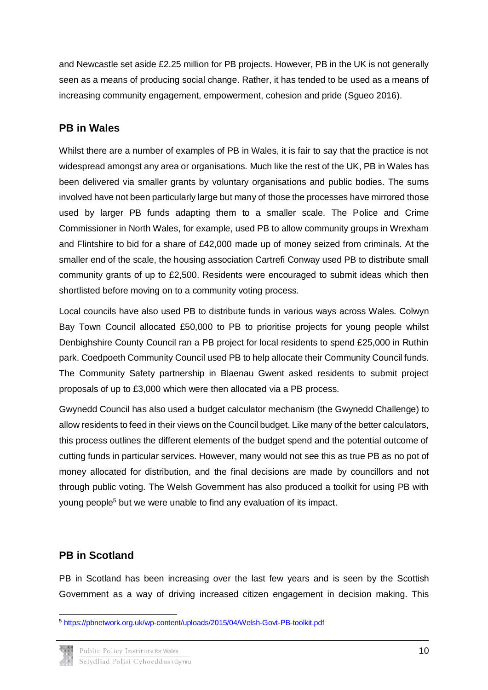and Newcastle set aside £2.25 million for PB projects. However, PB in the UK is not generally seen as a means of producing social change. Rather, it has tended to be used as a means of increasing community engagement, empowerment, cohesion and pride (Sgueo 2016).

## **PB in Wales**

Whilst there are a number of examples of PB in Wales, it is fair to say that the practice is not widespread amongst any area or organisations. Much like the rest of the UK, PB in Wales has been delivered via smaller grants by voluntary organisations and public bodies. The sums involved have not been particularly large but many of those the processes have mirrored those used by larger PB funds adapting them to a smaller scale. The Police and Crime Commissioner in North Wales, for example, used PB to allow community groups in Wrexham and Flintshire to bid for a share of £42,000 made up of money seized from criminals. At the smaller end of the scale, the housing association Cartrefi Conway used PB to distribute small community grants of up to £2,500. Residents were encouraged to submit ideas which then shortlisted before moving on to a community voting process.

Local councils have also used PB to distribute funds in various ways across Wales. Colwyn Bay Town Council allocated £50,000 to PB to prioritise projects for young people whilst Denbighshire County Council ran a PB project for local residents to spend £25,000 in Ruthin park. Coedpoeth Community Council used PB to help allocate their Community Council funds. The Community Safety partnership in Blaenau Gwent asked residents to submit project proposals of up to £3,000 which were then allocated via a PB process.

Gwynedd Council has also used a budget calculator mechanism (the Gwynedd Challenge) to allow residents to feed in their views on the Council budget. Like many of the better calculators, this process outlines the different elements of the budget spend and the potential outcome of cutting funds in particular services. However, many would not see this as true PB as no pot of money allocated for distribution, and the final decisions are made by councillors and not through public voting. The Welsh Government has also produced a toolkit for using PB with young people<sup>5</sup> but we were unable to find any evaluation of its impact.

## **PB in Scotland**

PB in Scotland has been increasing over the last few years and is seen by the Scottish Government as a way of driving increased citizen engagement in decision making. This

<sup>-</sup><sup>5</sup> <https://pbnetwork.org.uk/wp-content/uploads/2015/04/Welsh-Govt-PB-toolkit.pdf>

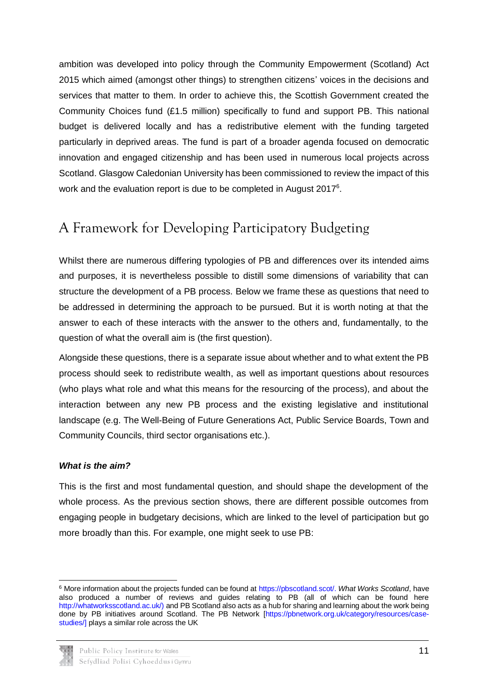ambition was developed into policy through the Community Empowerment (Scotland) Act 2015 which aimed (amongst other things) to strengthen citizens' voices in the decisions and services that matter to them. In order to achieve this, the Scottish Government created the Community Choices fund (£1.5 million) specifically to fund and support PB. This national budget is delivered locally and has a redistributive element with the funding targeted particularly in deprived areas. The fund is part of a broader agenda focused on democratic innovation and engaged citizenship and has been used in numerous local projects across Scotland. Glasgow Caledonian University has been commissioned to review the impact of this work and the evaluation report is due to be completed in August 2017<sup>6</sup>.

## <span id="page-13-0"></span>A Framework for Developing Participatory Budgeting

Whilst there are numerous differing typologies of PB and differences over its intended aims and purposes, it is nevertheless possible to distill some dimensions of variability that can structure the development of a PB process. Below we frame these as questions that need to be addressed in determining the approach to be pursued. But it is worth noting at that the answer to each of these interacts with the answer to the others and, fundamentally, to the question of what the overall aim is (the first question).

Alongside these questions, there is a separate issue about whether and to what extent the PB process should seek to redistribute wealth, as well as important questions about resources (who plays what role and what this means for the resourcing of the process), and about the interaction between any new PB process and the existing legislative and institutional landscape (e.g. The Well-Being of Future Generations Act, Public Service Boards, Town and Community Councils, third sector organisations etc.).

#### *What is the aim?*

This is the first and most fundamental question, and should shape the development of the whole process. As the previous section shows, there are different possible outcomes from engaging people in budgetary decisions, which are linked to the level of participation but go more broadly than this. For example, one might seek to use PB:

<sup>-</sup><sup>6</sup> More information about the projects funded can be found a[t https://pbscotland.scot/.](https://pbscotland.scot/) *What Works Scotland*, have also produced a number of reviews and guides relating to PB (all of which can be found here [http://whatworksscotland.ac.uk/\)](http://whatworksscotland.ac.uk/) and PB Scotland also acts as a hub for sharing and learning about the work being done by PB initiatives around Scotland. The PB Network [\[https://pbnetwork.org.uk/category/resources/case](https://pbnetwork.org.uk/category/resources/case-studies/)[studies/\]](https://pbnetwork.org.uk/category/resources/case-studies/) plays a similar role across the UK

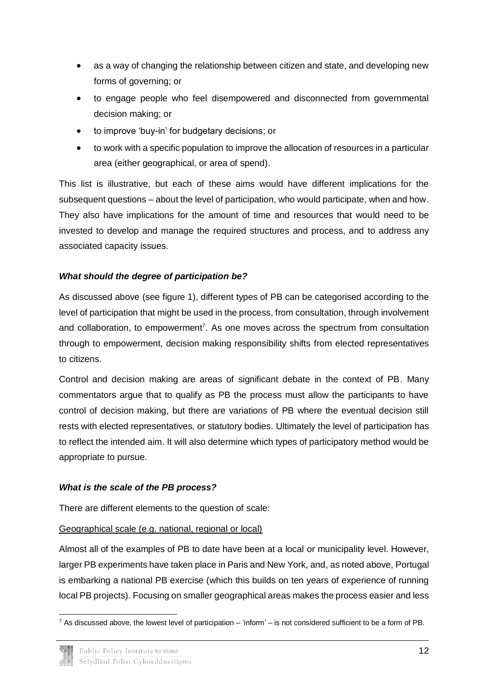- as a way of changing the relationship between citizen and state, and developing new forms of governing; or
- to engage people who feel disempowered and disconnected from governmental decision making; or
- to improve 'buy-in' for budgetary decisions; or
- to work with a specific population to improve the allocation of resources in a particular area (either geographical, or area of spend).

This list is illustrative, but each of these aims would have different implications for the subsequent questions – about the level of participation, who would participate, when and how. They also have implications for the amount of time and resources that would need to be invested to develop and manage the required structures and process, and to address any associated capacity issues.

#### *What should the degree of participation be?*

As discussed above (see figure 1), different types of PB can be categorised according to the level of participation that might be used in the process, from consultation, through involvement and collaboration, to empowerment<sup>7</sup>. As one moves across the spectrum from consultation through to empowerment, decision making responsibility shifts from elected representatives to citizens.

Control and decision making are areas of significant debate in the context of PB. Many commentators argue that to qualify as PB the process must allow the participants to have control of decision making, but there are variations of PB where the eventual decision still rests with elected representatives, or statutory bodies. Ultimately the level of participation has to reflect the intended aim. It will also determine which types of participatory method would be appropriate to pursue.

#### *What is the scale of the PB process?*

There are different elements to the question of scale:

#### Geographical scale (e.g. national, regional or local)

Almost all of the examples of PB to date have been at a local or municipality level. However, larger PB experiments have taken place in Paris and New York, and, as noted above, Portugal is embarking a national PB exercise (which this builds on ten years of experience of running local PB projects). Focusing on smaller geographical areas makes the process easier and less

<sup>-</sup><sup>7</sup> As discussed above, the lowest level of participation – 'inform' – is not considered sufficient to be a form of PB.

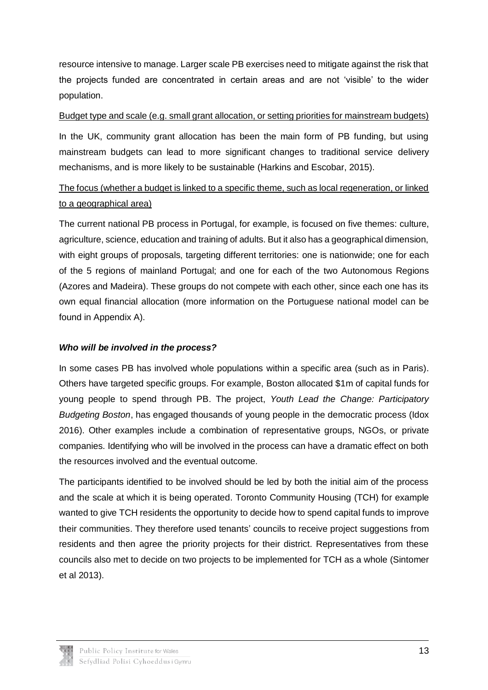resource intensive to manage. Larger scale PB exercises need to mitigate against the risk that the projects funded are concentrated in certain areas and are not 'visible' to the wider population.

#### Budget type and scale (e.g. small grant allocation, or setting priorities for mainstream budgets)

In the UK, community grant allocation has been the main form of PB funding, but using mainstream budgets can lead to more significant changes to traditional service delivery mechanisms, and is more likely to be sustainable (Harkins and Escobar, 2015).

## The focus (whether a budget is linked to a specific theme, such as local regeneration, or linked to a geographical area)

The current national PB process in Portugal, for example, is focused on five themes: culture, agriculture, science, education and training of adults. But it also has a geographical dimension, with eight groups of proposals, targeting different territories: one is nationwide; one for each of the 5 regions of mainland Portugal; and one for each of the two Autonomous Regions (Azores and Madeira). These groups do not compete with each other, since each one has its own equal financial allocation (more information on the Portuguese national model can be found in Appendix A).

#### *Who will be involved in the process?*

In some cases PB has involved whole populations within a specific area (such as in Paris). Others have targeted specific groups. For example, Boston allocated \$1m of capital funds for young people to spend through PB. The project, *Youth Lead the Change: Participatory Budgeting Boston*, has engaged thousands of young people in the democratic process (Idox 2016). Other examples include a combination of representative groups, NGOs, or private companies. Identifying who will be involved in the process can have a dramatic effect on both the resources involved and the eventual outcome.

The participants identified to be involved should be led by both the initial aim of the process and the scale at which it is being operated. Toronto Community Housing (TCH) for example wanted to give TCH residents the opportunity to decide how to spend capital funds to improve their communities. They therefore used tenants' councils to receive project suggestions from residents and then agree the priority projects for their district. Representatives from these councils also met to decide on two projects to be implemented for TCH as a whole (Sintomer et al 2013).

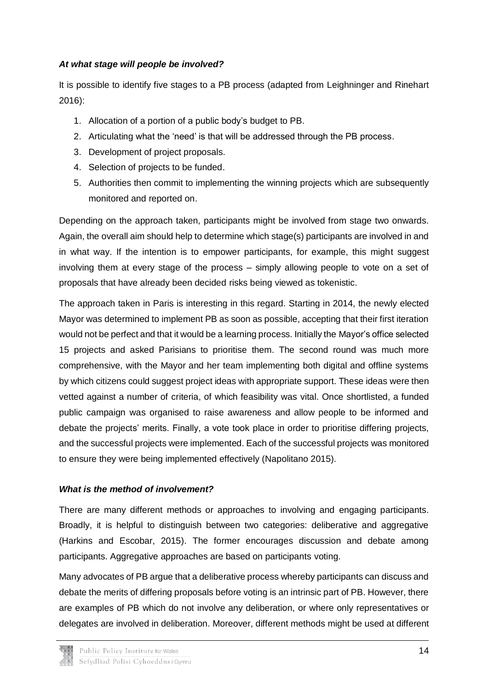#### *At what stage will people be involved?*

It is possible to identify five stages to a PB process (adapted from Leighninger and Rinehart 2016):

- 1. Allocation of a portion of a public body's budget to PB.
- 2. Articulating what the 'need' is that will be addressed through the PB process.
- 3. Development of project proposals.
- 4. Selection of projects to be funded.
- 5. Authorities then commit to implementing the winning projects which are subsequently monitored and reported on.

Depending on the approach taken, participants might be involved from stage two onwards. Again, the overall aim should help to determine which stage(s) participants are involved in and in what way. If the intention is to empower participants, for example, this might suggest involving them at every stage of the process – simply allowing people to vote on a set of proposals that have already been decided risks being viewed as tokenistic.

The approach taken in Paris is interesting in this regard. Starting in 2014, the newly elected Mayor was determined to implement PB as soon as possible, accepting that their first iteration would not be perfect and that it would be a learning process. Initially the Mayor's office selected 15 projects and asked Parisians to prioritise them. The second round was much more comprehensive, with the Mayor and her team implementing both digital and offline systems by which citizens could suggest project ideas with appropriate support. These ideas were then vetted against a number of criteria, of which feasibility was vital. Once shortlisted, a funded public campaign was organised to raise awareness and allow people to be informed and debate the projects' merits. Finally, a vote took place in order to prioritise differing projects, and the successful projects were implemented. Each of the successful projects was monitored to ensure they were being implemented effectively (Napolitano 2015).

#### *What is the method of involvement?*

There are many different methods or approaches to involving and engaging participants. Broadly, it is helpful to distinguish between two categories: deliberative and aggregative (Harkins and Escobar, 2015). The former encourages discussion and debate among participants. Aggregative approaches are based on participants voting.

Many advocates of PB argue that a deliberative process whereby participants can discuss and debate the merits of differing proposals before voting is an intrinsic part of PB. However, there are examples of PB which do not involve any deliberation, or where only representatives or delegates are involved in deliberation. Moreover, different methods might be used at different

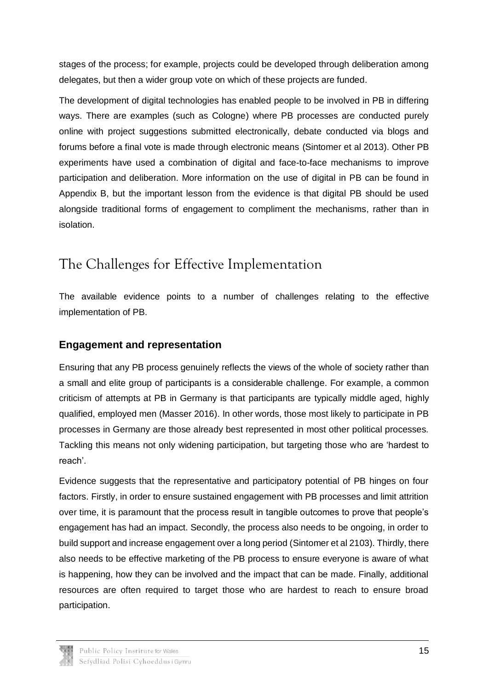stages of the process; for example, projects could be developed through deliberation among delegates, but then a wider group vote on which of these projects are funded.

The development of digital technologies has enabled people to be involved in PB in differing ways. There are examples (such as Cologne) where PB processes are conducted purely online with project suggestions submitted electronically, debate conducted via blogs and forums before a final vote is made through electronic means (Sintomer et al 2013). Other PB experiments have used a combination of digital and face-to-face mechanisms to improve participation and deliberation. More information on the use of digital in PB can be found in Appendix B, but the important lesson from the evidence is that digital PB should be used alongside traditional forms of engagement to compliment the mechanisms, rather than in isolation.

## <span id="page-17-0"></span>The Challenges for Effective Implementation

The available evidence points to a number of challenges relating to the effective implementation of PB.

## **Engagement and representation**

Ensuring that any PB process genuinely reflects the views of the whole of society rather than a small and elite group of participants is a considerable challenge. For example, a common criticism of attempts at PB in Germany is that participants are typically middle aged, highly qualified, employed men (Masser 2016). In other words, those most likely to participate in PB processes in Germany are those already best represented in most other political processes. Tackling this means not only widening participation, but targeting those who are 'hardest to reach'.

Evidence suggests that the representative and participatory potential of PB hinges on four factors. Firstly, in order to ensure sustained engagement with PB processes and limit attrition over time, it is paramount that the process result in tangible outcomes to prove that people's engagement has had an impact. Secondly, the process also needs to be ongoing, in order to build support and increase engagement over a long period (Sintomer et al 2103). Thirdly, there also needs to be effective marketing of the PB process to ensure everyone is aware of what is happening, how they can be involved and the impact that can be made. Finally, additional resources are often required to target those who are hardest to reach to ensure broad participation.

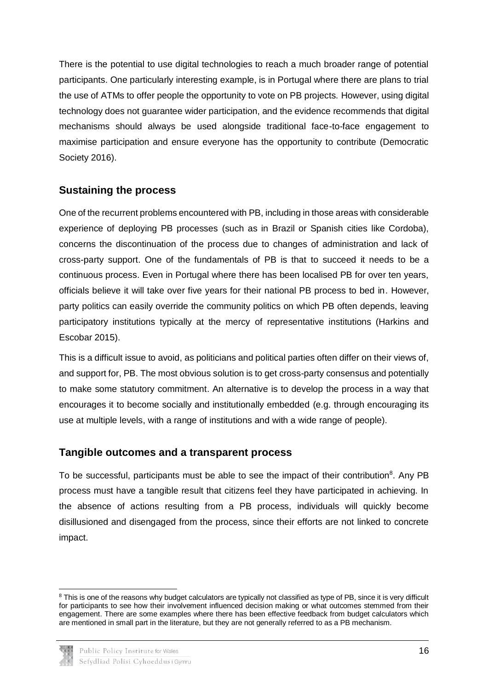There is the potential to use digital technologies to reach a much broader range of potential participants. One particularly interesting example, is in Portugal where there are plans to trial the use of ATMs to offer people the opportunity to vote on PB projects. However, using digital technology does not guarantee wider participation, and the evidence recommends that digital mechanisms should always be used alongside traditional face-to-face engagement to maximise participation and ensure everyone has the opportunity to contribute (Democratic Society 2016).

### **Sustaining the process**

One of the recurrent problems encountered with PB, including in those areas with considerable experience of deploying PB processes (such as in Brazil or Spanish cities like Cordoba), concerns the discontinuation of the process due to changes of administration and lack of cross-party support. One of the fundamentals of PB is that to succeed it needs to be a continuous process. Even in Portugal where there has been localised PB for over ten years, officials believe it will take over five years for their national PB process to bed in. However, party politics can easily override the community politics on which PB often depends, leaving participatory institutions typically at the mercy of representative institutions (Harkins and Escobar 2015).

This is a difficult issue to avoid, as politicians and political parties often differ on their views of, and support for, PB. The most obvious solution is to get cross-party consensus and potentially to make some statutory commitment. An alternative is to develop the process in a way that encourages it to become socially and institutionally embedded (e.g. through encouraging its use at multiple levels, with a range of institutions and with a wide range of people).

#### **Tangible outcomes and a transparent process**

To be successful, participants must be able to see the impact of their contribution<sup>8</sup>. Any PB process must have a tangible result that citizens feel they have participated in achieving. In the absence of actions resulting from a PB process, individuals will quickly become disillusioned and disengaged from the process, since their efforts are not linked to concrete impact.

 $8$  This is one of the reasons why budget calculators are typically not classified as type of PB, since it is very difficult for participants to see how their involvement influenced decision making or what outcomes stemmed from their engagement. There are some examples where there has been effective feedback from budget calculators which are mentioned in small part in the literature, but they are not generally referred to as a PB mechanism.



-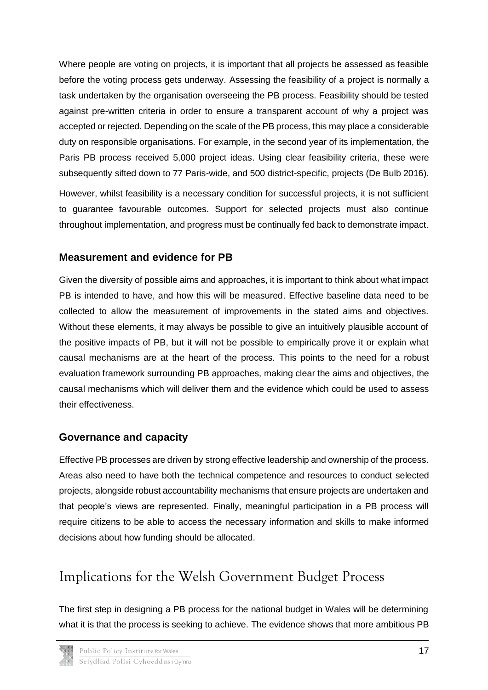Where people are voting on projects, it is important that all projects be assessed as feasible before the voting process gets underway. Assessing the feasibility of a project is normally a task undertaken by the organisation overseeing the PB process. Feasibility should be tested against pre-written criteria in order to ensure a transparent account of why a project was accepted or rejected. Depending on the scale of the PB process, this may place a considerable duty on responsible organisations. For example, in the second year of its implementation, the Paris PB process received 5,000 project ideas. Using clear feasibility criteria, these were subsequently sifted down to 77 Paris-wide, and 500 district-specific, projects (De Bulb 2016).

However, whilst feasibility is a necessary condition for successful projects, it is not sufficient to guarantee favourable outcomes. Support for selected projects must also continue throughout implementation, and progress must be continually fed back to demonstrate impact.

## **Measurement and evidence for PB**

Given the diversity of possible aims and approaches, it is important to think about what impact PB is intended to have, and how this will be measured. Effective baseline data need to be collected to allow the measurement of improvements in the stated aims and objectives. Without these elements, it may always be possible to give an intuitively plausible account of the positive impacts of PB, but it will not be possible to empirically prove it or explain what causal mechanisms are at the heart of the process. This points to the need for a robust evaluation framework surrounding PB approaches, making clear the aims and objectives, the causal mechanisms which will deliver them and the evidence which could be used to assess their effectiveness.

## **Governance and capacity**

Effective PB processes are driven by strong effective leadership and ownership of the process. Areas also need to have both the technical competence and resources to conduct selected projects, alongside robust accountability mechanisms that ensure projects are undertaken and that people's views are represented. Finally, meaningful participation in a PB process will require citizens to be able to access the necessary information and skills to make informed decisions about how funding should be allocated.

# <span id="page-19-0"></span>Implications for the Welsh Government Budget Process

The first step in designing a PB process for the national budget in Wales will be determining what it is that the process is seeking to achieve. The evidence shows that more ambitious PB

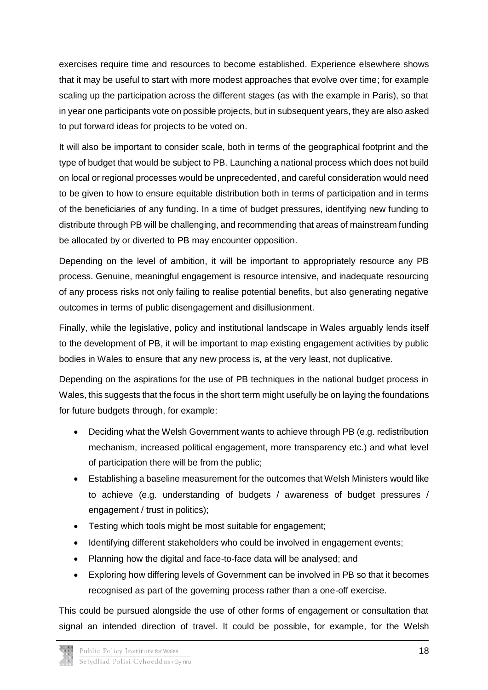exercises require time and resources to become established. Experience elsewhere shows that it may be useful to start with more modest approaches that evolve over time; for example scaling up the participation across the different stages (as with the example in Paris), so that in year one participants vote on possible projects, but in subsequent years, they are also asked to put forward ideas for projects to be voted on.

It will also be important to consider scale, both in terms of the geographical footprint and the type of budget that would be subject to PB. Launching a national process which does not build on local or regional processes would be unprecedented, and careful consideration would need to be given to how to ensure equitable distribution both in terms of participation and in terms of the beneficiaries of any funding. In a time of budget pressures, identifying new funding to distribute through PB will be challenging, and recommending that areas of mainstream funding be allocated by or diverted to PB may encounter opposition.

Depending on the level of ambition, it will be important to appropriately resource any PB process. Genuine, meaningful engagement is resource intensive, and inadequate resourcing of any process risks not only failing to realise potential benefits, but also generating negative outcomes in terms of public disengagement and disillusionment.

Finally, while the legislative, policy and institutional landscape in Wales arguably lends itself to the development of PB, it will be important to map existing engagement activities by public bodies in Wales to ensure that any new process is, at the very least, not duplicative.

Depending on the aspirations for the use of PB techniques in the national budget process in Wales, this suggests that the focus in the short term might usefully be on laying the foundations for future budgets through, for example:

- Deciding what the Welsh Government wants to achieve through PB (e.g. redistribution mechanism, increased political engagement, more transparency etc.) and what level of participation there will be from the public;
- Establishing a baseline measurement for the outcomes that Welsh Ministers would like to achieve (e.g. understanding of budgets / awareness of budget pressures / engagement / trust in politics);
- Testing which tools might be most suitable for engagement;
- Identifying different stakeholders who could be involved in engagement events;
- Planning how the digital and face-to-face data will be analysed; and
- Exploring how differing levels of Government can be involved in PB so that it becomes recognised as part of the governing process rather than a one-off exercise.

This could be pursued alongside the use of other forms of engagement or consultation that signal an intended direction of travel. It could be possible, for example, for the Welsh

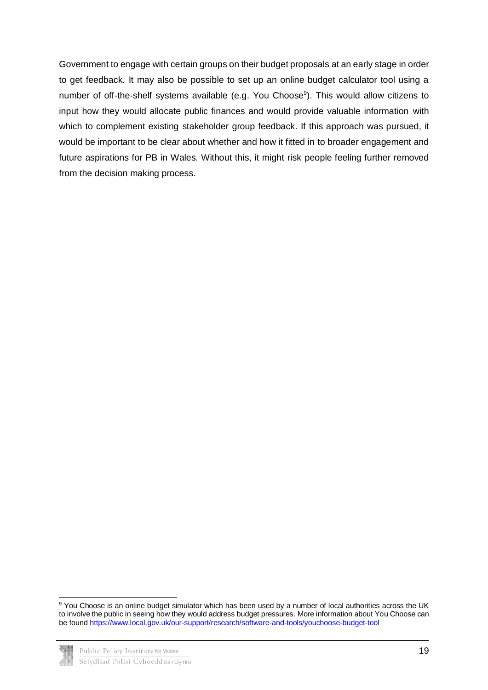Government to engage with certain groups on their budget proposals at an early stage in order to get feedback. It may also be possible to set up an online budget calculator tool using a number of off-the-shelf systems available (e.g. You Choose<sup>9</sup>). This would allow citizens to input how they would allocate public finances and would provide valuable information with which to complement existing stakeholder group feedback. If this approach was pursued, it would be important to be clear about whether and how it fitted in to broader engagement and future aspirations for PB in Wales. Without this, it might risk people feeling further removed from the decision making process.

<sup>-</sup><sup>9</sup> You Choose is an online budget simulator which has been used by a number of local authorities across the UK to involve the public in seeing how they would address budget pressures. More information about You Choose can be foun[d https://www.local.gov.uk/our-support/research/software-and-tools/youchoose-budget-tool](https://www.local.gov.uk/our-support/research/software-and-tools/youchoose-budget-tool)

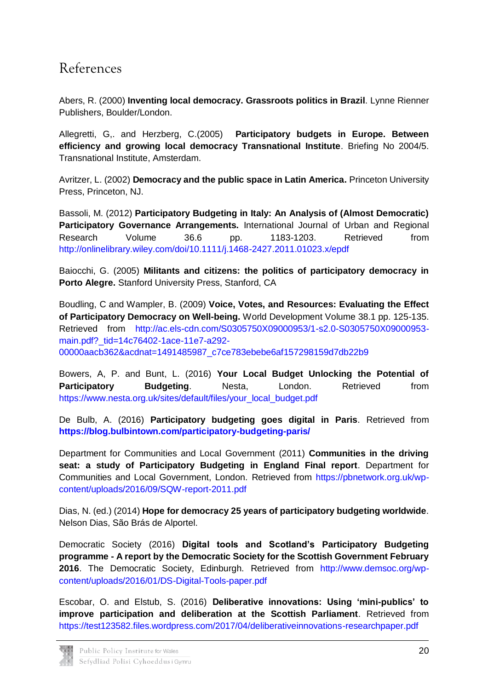## <span id="page-22-0"></span>References

Abers, R. (2000) **Inventing local democracy. Grassroots politics in Brazil**. Lynne Rienner Publishers, Boulder/London.

Allegretti, G,. and Herzberg, C.(2005) **Participatory budgets in Europe. Between efficiency and growing local democracy Transnational Institute**. Briefing No 2004/5. Transnational Institute, Amsterdam.

Avritzer, L. (2002) **Democracy and the public space in Latin America.** Princeton University Press, Princeton, NJ.

Bassoli, M. (2012) **Participatory Budgeting in Italy: An Analysis of (Almost Democratic) Participatory Governance Arrangements.** International Journal of Urban and Regional Research Volume 36.6 pp. 1183-1203. Retrieved from <http://onlinelibrary.wiley.com/doi/10.1111/j.1468-2427.2011.01023.x/epdf>

Baiocchi, G. (2005) **Militants and citizens: the politics of participatory democracy in Porto Alegre.** Stanford University Press, Stanford, CA

Boudling, C and Wampler, B. (2009) **Voice, Votes, and Resources: Evaluating the Effect of Participatory Democracy on Well-being.** World Development Volume 38.1 pp. 125-135. Retrieved from [http://ac.els-cdn.com/S0305750X09000953/1-s2.0-S0305750X09000953](http://ac.els-cdn.com/S0305750X09000953/1-s2.0-S0305750X09000953-main.pdf?_tid=14c76402-1ace-11e7-a292-00000aacb362&acdnat=1491485987_c7ce783ebebe6af157298159d7db22b9) main.pdf? tid=14c76402-1ace-11e7-a292-

[00000aacb362&acdnat=1491485987\\_c7ce783ebebe6af157298159d7db22b9](http://ac.els-cdn.com/S0305750X09000953/1-s2.0-S0305750X09000953-main.pdf?_tid=14c76402-1ace-11e7-a292-00000aacb362&acdnat=1491485987_c7ce783ebebe6af157298159d7db22b9)

Bowers, A, P. and Bunt, L. (2016) **Your Local Budget Unlocking the Potential of Participatory Budgeting. Nesta. London. Retrieved from** [https://www.nesta.org.uk/sites/default/files/your\\_local\\_budget.pdf](https://www.nesta.org.uk/sites/default/files/your_local_budget.pdf)

De Bulb, A. (2016) **[Participatory budgeting goes digital in Paris](https://blog.bulbintown.com/participatory-budgeting-paris/)**. Retrieved from **<https://blog.bulbintown.com/participatory-budgeting-paris/>**

Department for Communities and Local Government (2011) **Communities in the driving seat: a study of Participatory Budgeting in England Final report**. Department for Communities and Local Government, London. Retrieved from [https://pbnetwork.org.uk/wp](https://pbnetwork.org.uk/wp-content/uploads/2016/09/SQW-report-2011.pdf)[content/uploads/2016/09/SQW-report-2011.pdf](https://pbnetwork.org.uk/wp-content/uploads/2016/09/SQW-report-2011.pdf)

Dias, N. (ed.) (2014) **Hope for democracy 25 years of participatory budgeting worldwide**. Nelson Dias, São Brás de Alportel.

Democratic Society (2016) **Digital tools and Scotland's Participatory Budgeting programme - A report by the Democratic Society for the Scottish Government February 2016**. The Democratic Society, Edinburgh. Retrieved from [http://www.demsoc.org/wp](http://www.demsoc.org/wp-content/uploads/2016/01/DS-Digital-Tools-paper.pdf)[content/uploads/2016/01/DS-Digital-Tools-paper.pdf](http://www.demsoc.org/wp-content/uploads/2016/01/DS-Digital-Tools-paper.pdf)

Escobar, O. and Elstub, S. (2016) **Deliberative innovations: Using 'mini-publics' to improve participation and deliberation at the Scottish Parliament**. Retrieved from <https://test123582.files.wordpress.com/2017/04/deliberativeinnovations-researchpaper.pdf>

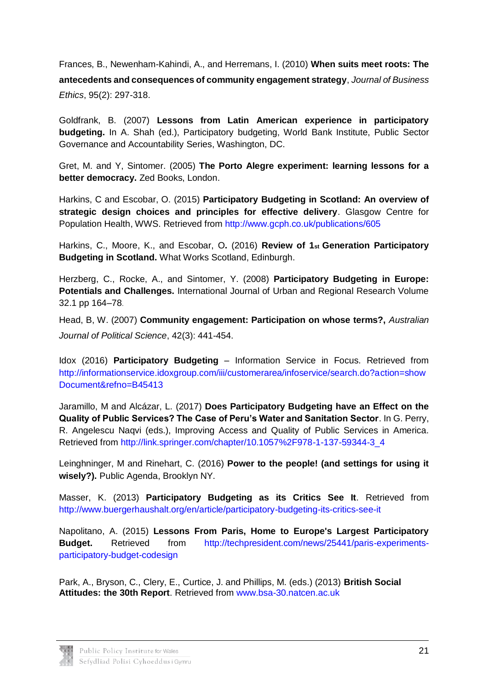Frances, B., Newenham-Kahindi, A., and Herremans, I. (2010) **When suits meet roots: The antecedents and consequences of community engagement strategy**, *Journal of Business Ethics*, 95(2): 297-318.

Goldfrank, B. (2007) **Lessons from Latin American experience in participatory budgeting.** In A. Shah (ed.), Participatory budgeting, World Bank Institute, Public Sector Governance and Accountability Series, Washington, DC.

Gret, M. and Y, Sintomer. (2005) **The Porto Alegre experiment: learning lessons for a better democracy.** Zed Books, London.

Harkins, C and Escobar, O. (2015) **Participatory Budgeting in Scotland: An overview of strategic design choices and principles for effective delivery**. Glasgow Centre for Population Health, WWS. Retrieved from<http://www.gcph.co.uk/publications/605>

Harkins, C., Moore, K., and Escobar, O**.** (2016) **Review of 1st Generation Participatory Budgeting in Scotland.** What Works Scotland, Edinburgh.

Herzberg, C., Rocke, A., and Sintomer, Y. (2008) **Participatory Budgeting in Europe: Potentials and Challenges.** International Journal of Urban and Regional Research Volume 32.1 pp 164–78.

Head, B, W. (2007) **Community engagement: Participation on whose terms?,** *Australian Journal of Political Science*, 42(3): 441-454.

Idox (2016) **Participatory Budgeting** – Information Service in Focus. Retrieved from [http://informationservice.idoxgroup.com/iii/customerarea/infoservice/search.do?action=show](http://informationservice.idoxgroup.com/iii/customerarea/infoservice/search.do?action=showDocument&refno=B45413) [Document&refno=B45413](http://informationservice.idoxgroup.com/iii/customerarea/infoservice/search.do?action=showDocument&refno=B45413)

Jaramillo, M and Alcázar, L. (2017) **Does Participatory Budgeting have an Effect on the Quality of Public Services? The Case of Peru's Water and Sanitation Sector**. In G. Perry, R. Angelescu Naqvi (eds.), Improving Access and Quality of Public Services in America. Retrieved from [http://link.springer.com/chapter/10.1057%2F978-1-137-59344-3\\_4](http://link.springer.com/chapter/10.1057%2F978-1-137-59344-3_4)

Leinghninger, M and Rinehart, C. (2016) **Power to the people! (and settings for using it wisely?).** Public Agenda, Brooklyn NY.

Masser, K. (2013) **Participatory Budgeting as its Critics See It**. Retrieved from <http://www.buergerhaushalt.org/en/article/participatory-budgeting-its-critics-see-it>

Napolitano, A. (2015) **Lessons From Paris, Home to Europe's Largest Participatory Budget.** Retrieved from [http://techpresident.com/news/25441/paris-experiments](http://techpresident.com/news/25441/paris-experiments-participatory-budget-codesign)[participatory-budget-codesign](http://techpresident.com/news/25441/paris-experiments-participatory-budget-codesign)

Park, A., Bryson, C., Clery, E., Curtice, J. and Phillips, M. (eds.) (2013) **British Social Attitudes: the 30th Report**. Retrieved from [www.bsa-30.natcen.ac.uk](http://www.bsa-30.natcen.ac.uk/)

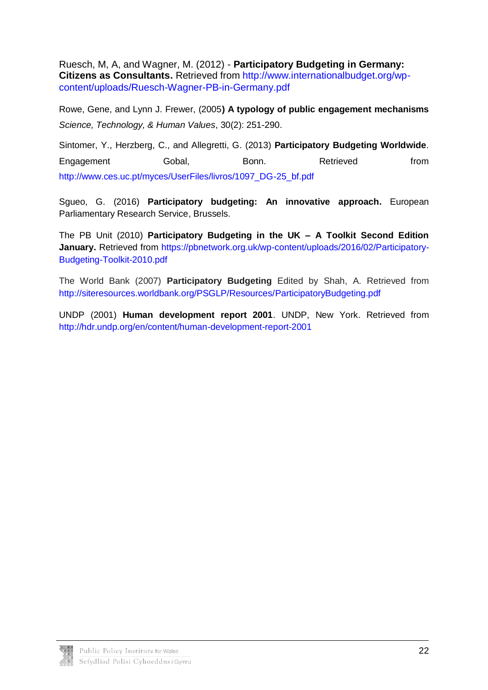Ruesch, M, A, and Wagner, M. (2012) - **Participatory Budgeting in Germany: Citizens as Consultants.** Retrieved from [http://www.internationalbudget.org/wp](http://www.internationalbudget.org/wp-content/uploads/Ruesch-Wagner-PB-in-Germany.pdf)[content/uploads/Ruesch-Wagner-PB-in-Germany.pdf](http://www.internationalbudget.org/wp-content/uploads/Ruesch-Wagner-PB-in-Germany.pdf)

Rowe, Gene, and Lynn J. Frewer, (2005**) A typology of public engagement mechanisms** *Science, Technology, & Human Values*, 30(2): 251-290.

Sintomer, Y., Herzberg, C., and Allegretti, G. (2013) **Participatory Budgeting Worldwide**. Engagement Gobal, Bonn. Retrieved from [http://www.ces.uc.pt/myces/UserFiles/livros/1097\\_DG-25\\_bf.pdf](http://www.ces.uc.pt/myces/UserFiles/livros/1097_DG-25_bf.pdf)

Sgueo, G. (2016) **Participatory budgeting: An innovative approach.** European Parliamentary Research Service, Brussels.

The PB Unit (2010) **Participatory Budgeting in the UK – A Toolkit Second Edition January.** Retrieved from [https://pbnetwork.org.uk/wp-content/uploads/2016/02/Participatory-](https://pbnetwork.org.uk/wp-content/uploads/2016/02/Participatory-Budgeting-Toolkit-2010.pdf)[Budgeting-Toolkit-2010.pdf](https://pbnetwork.org.uk/wp-content/uploads/2016/02/Participatory-Budgeting-Toolkit-2010.pdf)

The World Bank (2007) **Participatory Budgeting** Edited by Shah, A. Retrieved from <http://siteresources.worldbank.org/PSGLP/Resources/ParticipatoryBudgeting.pdf>

UNDP (2001) **Human development report 2001**. UNDP, New York. Retrieved from <http://hdr.undp.org/en/content/human-development-report-2001>

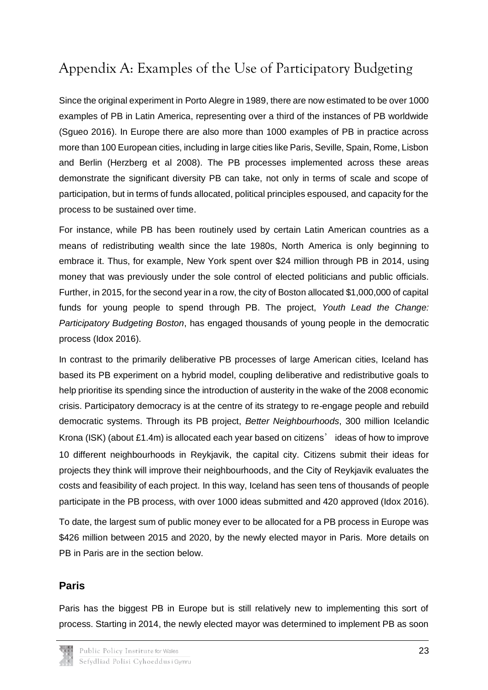# <span id="page-25-0"></span>Appendix A: Examples of the Use of Participatory Budgeting

Since the original experiment in Porto Alegre in 1989, there are now estimated to be over 1000 examples of PB in Latin America, representing over a third of the instances of PB worldwide (Sgueo 2016). In Europe there are also more than 1000 examples of PB in practice across more than 100 European cities, including in large cities like Paris, Seville, Spain, Rome, Lisbon and Berlin (Herzberg et al 2008). The PB processes implemented across these areas demonstrate the significant diversity PB can take, not only in terms of scale and scope of participation, but in terms of funds allocated, political principles espoused, and capacity for the process to be sustained over time.

For instance, while PB has been routinely used by certain Latin American countries as a means of redistributing wealth since the late 1980s, North America is only beginning to embrace it. Thus, for example, New York spent over \$24 million through PB in 2014, using money that was previously under the sole control of elected politicians and public officials. Further, in 2015, for the second year in a row, the city of Boston allocated \$1,000,000 of capital funds for young people to spend through PB. The project, *Youth Lead the Change: Participatory Budgeting Boston*, has engaged thousands of young people in the democratic process (Idox 2016).

In contrast to the primarily deliberative PB processes of large American cities, Iceland has based its PB experiment on a hybrid model, coupling deliberative and redistributive goals to help prioritise its spending since the introduction of austerity in the wake of the 2008 economic crisis. Participatory democracy is at the centre of its strategy to re-engage people and rebuild democratic systems. Through its PB project, *Better Neighbourhoods*, 300 million Icelandic Krona (ISK) (about £1.4m) is allocated each year based on citizens' ideas of how to improve 10 different neighbourhoods in Reykjavik, the capital city. Citizens submit their ideas for projects they think will improve their neighbourhoods, and the City of Reykjavik evaluates the costs and feasibility of each project. In this way, Iceland has seen tens of thousands of people participate in the PB process, with over 1000 ideas submitted and 420 approved (Idox 2016).

To date, the largest sum of public money ever to be allocated for a PB process in Europe was \$426 million between 2015 and 2020, by the newly elected mayor in Paris. More details on PB in Paris are in the section below.

### **Paris**

Paris has the biggest PB in Europe but is still relatively new to implementing this sort of process. Starting in 2014, the newly elected mayor was determined to implement PB as soon

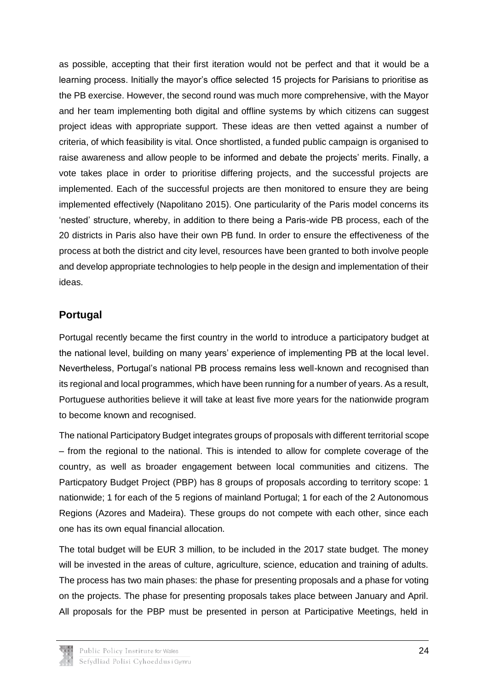as possible, accepting that their first iteration would not be perfect and that it would be a learning process. Initially the mayor's office selected 15 projects for Parisians to prioritise as the PB exercise. However, the second round was much more comprehensive, with the Mayor and her team implementing both digital and offline systems by which citizens can suggest project ideas with appropriate support. These ideas are then vetted against a number of criteria, of which feasibility is vital. Once shortlisted, a funded public campaign is organised to raise awareness and allow people to be informed and debate the projects' merits. Finally, a vote takes place in order to prioritise differing projects, and the successful projects are implemented. Each of the successful projects are then monitored to ensure they are being implemented effectively (Napolitano 2015). One particularity of the Paris model concerns its 'nested' structure, whereby, in addition to there being a Paris-wide PB process, each of the 20 districts in Paris also have their own PB fund. In order to ensure the effectiveness of the process at both the district and city level, resources have been granted to both involve people and develop appropriate technologies to help people in the design and implementation of their ideas.

## **Portugal**

Portugal recently became the first country in the world to introduce a participatory budget at the national level, building on many years' experience of implementing PB at the local level. Nevertheless, Portugal's national PB process remains less well-known and recognised than its regional and local programmes, which have been running for a number of years. As a result, Portuguese authorities believe it will take at least five more years for the nationwide program to become known and recognised.

The national Participatory Budget integrates groups of proposals with different territorial scope – from the regional to the national. This is intended to allow for complete coverage of the country, as well as broader engagement between local communities and citizens. The Particpatory Budget Project (PBP) has 8 groups of proposals according to territory scope: 1 nationwide; 1 for each of the 5 regions of mainland Portugal; 1 for each of the 2 Autonomous Regions (Azores and Madeira). These groups do not compete with each other, since each one has its own equal financial allocation.

The total budget will be EUR 3 million, to be included in the 2017 state budget. The money will be invested in the areas of culture, agriculture, science, education and training of adults. The process has two main phases: the phase for presenting proposals and a phase for voting on the projects. The phase for presenting proposals takes place between January and April. All proposals for the PBP must be presented in person at Participative Meetings, held in

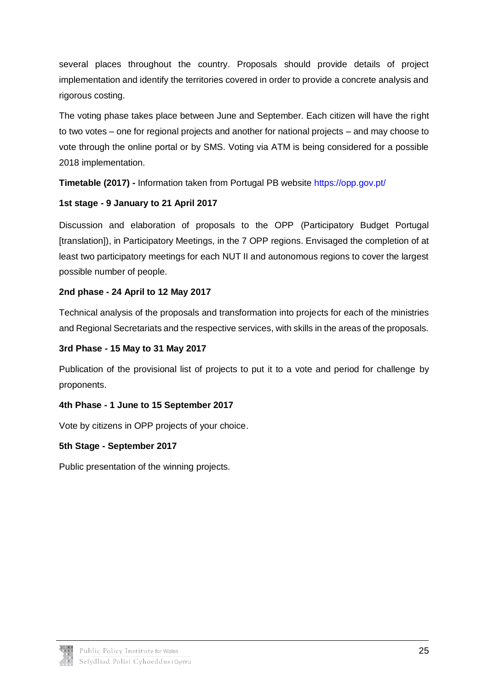several places throughout the country. Proposals should provide details of project implementation and identify the territories covered in order to provide a concrete analysis and rigorous costing.

The voting phase takes place between June and September. Each citizen will have the right to two votes – one for regional projects and another for national projects – and may choose to vote through the online portal or by SMS. Voting via ATM is being considered for a possible 2018 implementation.

**Timetable (2017) -** Information taken from Portugal PB website<https://opp.gov.pt/>

### **1st stage - 9 January to 21 April 2017**

Discussion and elaboration of proposals to the OPP (Participatory Budget Portugal [translation]), in Participatory Meetings, in the 7 OPP regions. Envisaged the completion of at least two participatory meetings for each NUT II and autonomous regions to cover the largest possible number of people.

### **2nd phase - 24 April to 12 May 2017**

Technical analysis of the proposals and transformation into projects for each of the ministries and Regional Secretariats and the respective services, with skills in the areas of the proposals.

#### **3rd Phase - 15 May to 31 May 2017**

Publication of the provisional list of projects to put it to a vote and period for challenge by proponents.

### **4th Phase - 1 June to 15 September 2017**

Vote by citizens in OPP projects of your choice.

### **5th Stage - September 2017**

Public presentation of the winning projects.

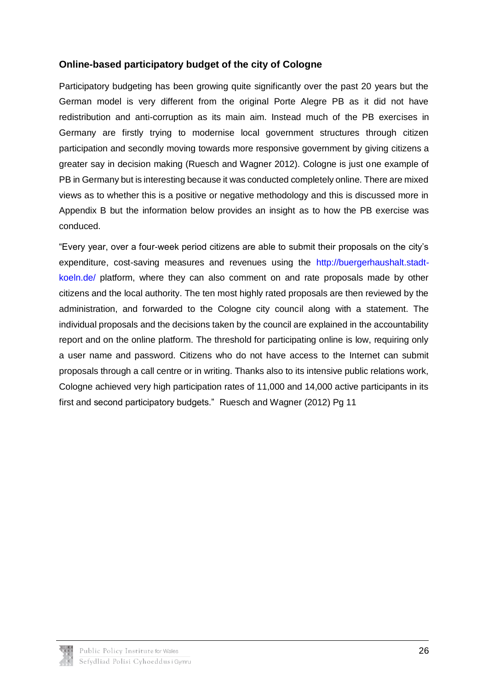### **Online-based participatory budget of the city of Cologne**

Participatory budgeting has been growing quite significantly over the past 20 years but the German model is very different from the original Porte Alegre PB as it did not have redistribution and anti-corruption as its main aim. Instead much of the PB exercises in Germany are firstly trying to modernise local government structures through citizen participation and secondly moving towards more responsive government by giving citizens a greater say in decision making (Ruesch and Wagner 2012). Cologne is just one example of PB in Germany but is interesting because it was conducted completely online. There are mixed views as to whether this is a positive or negative methodology and this is discussed more in Appendix B but the information below provides an insight as to how the PB exercise was conduced.

"Every year, over a four-week period citizens are able to submit their proposals on the city's expenditure, cost-saving measures and revenues using the [http://buergerhaushalt.stadt](http://buergerhaushalt.stadt-koeln.de/)[koeln.de/](http://buergerhaushalt.stadt-koeln.de/) platform, where they can also comment on and rate proposals made by other citizens and the local authority. The ten most highly rated proposals are then reviewed by the administration, and forwarded to the Cologne city council along with a statement. The individual proposals and the decisions taken by the council are explained in the accountability report and on the online platform. The threshold for participating online is low, requiring only a user name and password. Citizens who do not have access to the Internet can submit proposals through a call centre or in writing. Thanks also to its intensive public relations work, Cologne achieved very high participation rates of 11,000 and 14,000 active participants in its first and second participatory budgets." Ruesch and Wagner (2012) Pg 11

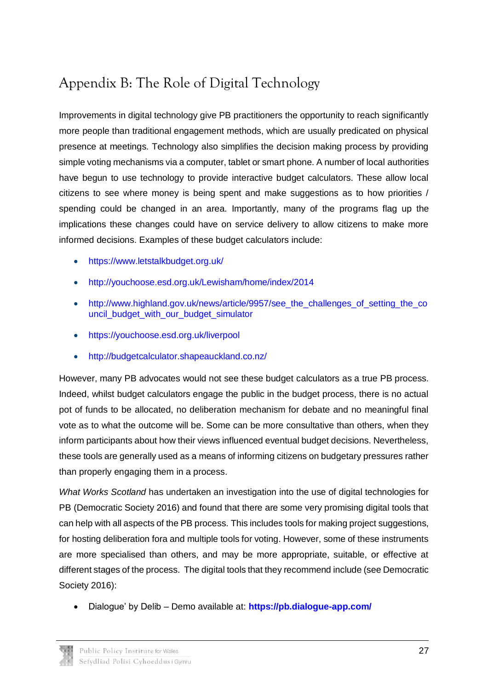# <span id="page-29-0"></span>Appendix B: The Role of Digital Technology

Improvements in digital technology give PB practitioners the opportunity to reach significantly more people than traditional engagement methods, which are usually predicated on physical presence at meetings. Technology also simplifies the decision making process by providing simple voting mechanisms via a computer, tablet or smart phone. A number of local authorities have begun to use technology to provide interactive budget calculators. These allow local citizens to see where money is being spent and make suggestions as to how priorities / spending could be changed in an area. Importantly, many of the programs flag up the implications these changes could have on service delivery to allow citizens to make more informed decisions. Examples of these budget calculators include:

- <https://www.letstalkbudget.org.uk/>
- <http://youchoose.esd.org.uk/Lewisham/home/index/2014>
- http://www.highland.gov.uk/news/article/9957/see the challenges of setting the co [uncil\\_budget\\_with\\_our\\_budget\\_simulator](http://www.highland.gov.uk/news/article/9957/see_the_challenges_of_setting_the_council_budget_with_our_budget_simulator)
- <https://youchoose.esd.org.uk/liverpool>
- <http://budgetcalculator.shapeauckland.co.nz/>

However, many PB advocates would not see these budget calculators as a true PB process. Indeed, whilst budget calculators engage the public in the budget process, there is no actual pot of funds to be allocated, no deliberation mechanism for debate and no meaningful final vote as to what the outcome will be. Some can be more consultative than others, when they inform participants about how their views influenced eventual budget decisions. Nevertheless, these tools are generally used as a means of informing citizens on budgetary pressures rather than properly engaging them in a process.

*What Works Scotland* has undertaken an investigation into the use of digital technologies for PB (Democratic Society 2016) and found that there are some very promising digital tools that can help with all aspects of the PB process. This includes tools for making project suggestions, for hosting deliberation fora and multiple tools for voting. However, some of these instruments are more specialised than others, and may be more appropriate, suitable, or effective at different stages of the process. The digital tools that they recommend include (see Democratic Society 2016):

Dialogue' by Delib – Demo available at: **<https://pb.dialogue-app.com/>**

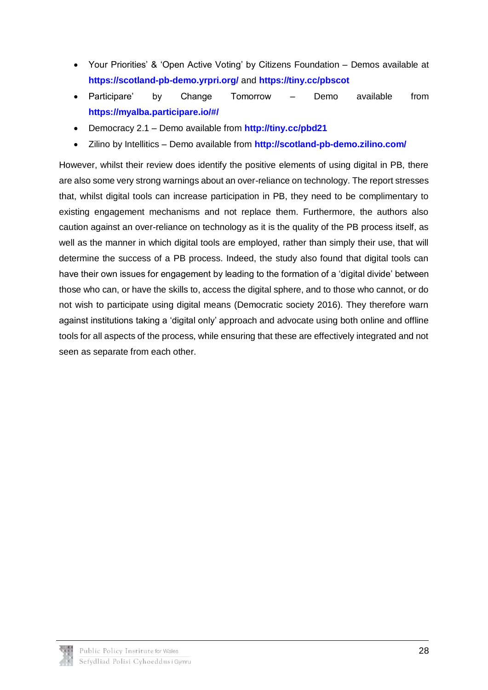- Your Priorities' & 'Open Active Voting' by Citizens Foundation Demos available at **<https://scotland-pb-demo.yrpri.org/>** and **<https://tiny.cc/pbscot>**
- Participare' by Change Tomorrow Demo available from **<https://myalba.participare.io/#/>**
- Democracy 2.1 Demo available from **<http://tiny.cc/pbd21>**
- Zilino by Intellitics Demo available from **<http://scotland-pb-demo.zilino.com/>**

However, whilst their review does identify the positive elements of using digital in PB, there are also some very strong warnings about an over-reliance on technology. The report stresses that, whilst digital tools can increase participation in PB, they need to be complimentary to existing engagement mechanisms and not replace them. Furthermore, the authors also caution against an over-reliance on technology as it is the quality of the PB process itself, as well as the manner in which digital tools are employed, rather than simply their use, that will determine the success of a PB process. Indeed, the study also found that digital tools can have their own issues for engagement by leading to the formation of a 'digital divide' between those who can, or have the skills to, access the digital sphere, and to those who cannot, or do not wish to participate using digital means (Democratic society 2016). They therefore warn against institutions taking a 'digital only' approach and advocate using both online and offline tools for all aspects of the process, while ensuring that these are effectively integrated and not seen as separate from each other.